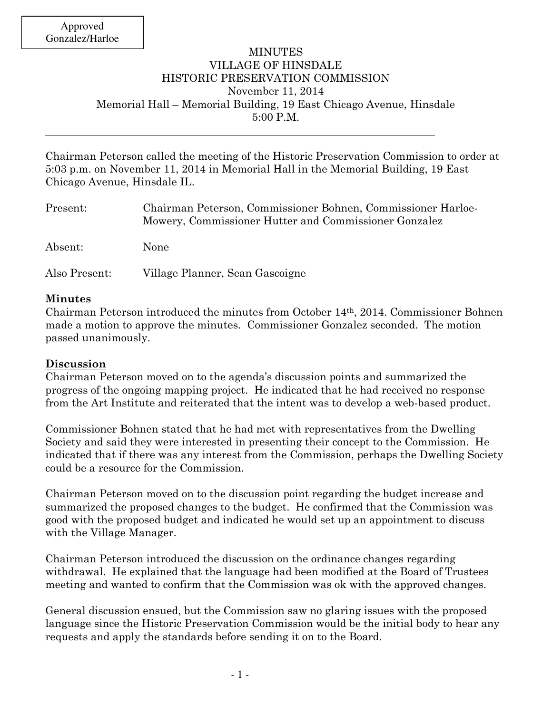## MINUTES VILLAGE OF HINSDALE HISTORIC PRESERVATION COMMISSION November 11, 2014 Memorial Hall – Memorial Building, 19 East Chicago Avenue, Hinsdale 5:00 P.M.

Chairman Peterson called the meeting of the Historic Preservation Commission to order at 5:03 p.m. on November 11, 2014 in Memorial Hall in the Memorial Building, 19 East Chicago Avenue, Hinsdale IL.

| Present:      | Chairman Peterson, Commissioner Bohnen, Commissioner Harloe-<br>Mowery, Commissioner Hutter and Commissioner Gonzalez |
|---------------|-----------------------------------------------------------------------------------------------------------------------|
| Absent:       | None                                                                                                                  |
| Also Present: | Village Planner, Sean Gascoigne                                                                                       |

## **Minutes**

Chairman Peterson introduced the minutes from October 14th, 2014. Commissioner Bohnen made a motion to approve the minutes. Commissioner Gonzalez seconded. The motion passed unanimously.

## **Discussion**

Chairman Peterson moved on to the agenda's discussion points and summarized the progress of the ongoing mapping project. He indicated that he had received no response from the Art Institute and reiterated that the intent was to develop a web-based product.

Commissioner Bohnen stated that he had met with representatives from the Dwelling Society and said they were interested in presenting their concept to the Commission. He indicated that if there was any interest from the Commission, perhaps the Dwelling Society could be a resource for the Commission.

Chairman Peterson moved on to the discussion point regarding the budget increase and summarized the proposed changes to the budget. He confirmed that the Commission was good with the proposed budget and indicated he would set up an appointment to discuss with the Village Manager.

Chairman Peterson introduced the discussion on the ordinance changes regarding withdrawal. He explained that the language had been modified at the Board of Trustees meeting and wanted to confirm that the Commission was ok with the approved changes.

General discussion ensued, but the Commission saw no glaring issues with the proposed language since the Historic Preservation Commission would be the initial body to hear any requests and apply the standards before sending it on to the Board.